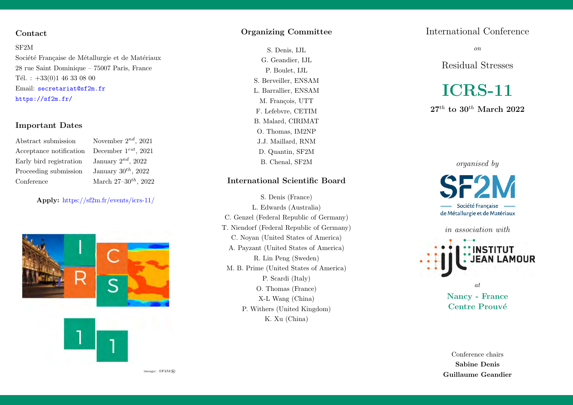## Contact

#### SF2M

Société Française de Métallurgie et de Matériaux 28 rue Saint Dominique – 75007 Paris, France Tél. :  $+33(0)1$  46 33 08 00 Email: <secretariat@sf2m.fr> <https://sf2m.fr/>

## Important Dates

Abstract submission November  $2^{nd}$ , 2021 Acceptance notification December  $1^{rst}$ , 2021 Early bird registration January  $2^{nd}$ , 2022 Proceeding submission January  $30^{th}$ , 2022 Conference March  $27-30^{th}$ ,  $2022$ 

## Apply: <https://sf2m.fr/events/icrs-11/>



#### Organizing Committee

S. Denis, IJL G. Geandier, IJL P. Boulet, IJL S. Berveiller, ENSAM L. Barrallier, ENSAM M. Francois, UTT F. Lefebvre, CETIM B. Malard, CIRIMAT O. Thomas, IM2NP J.J. Maillard, RNM D. Quantin, SF2M B. Chenal, SF2M

## International Scientific Board

S. Denis (France) L. Edwards (Australia) C. Genzel (Federal Republic of Germany) T. Niendorf (Federal Republic of Germany) C. Noyan (United States of America) A. Payzant (United States of America) R. Lin Peng (Sweden) M. B. Prime (United States of America) P. Scardi (Italy) O. Thomas (France) X-L Wang (China) P. Withers (United Kingdom) K. Xu (China)

## International Conference

on

Residual Stresses

# ICRS-11

 $27^{th}$  to  $30^{th}$  March  $2022$ 

[organised by](https://sf2m.fr/)

Société Francaise de Métallurgie et de Matériaux

in association with **INSTITUT** 

at

Nancy - France Centre Prouvé

Conference chairs Sabine Denis Guillaume Geandier

image:  $SF2M$ ®